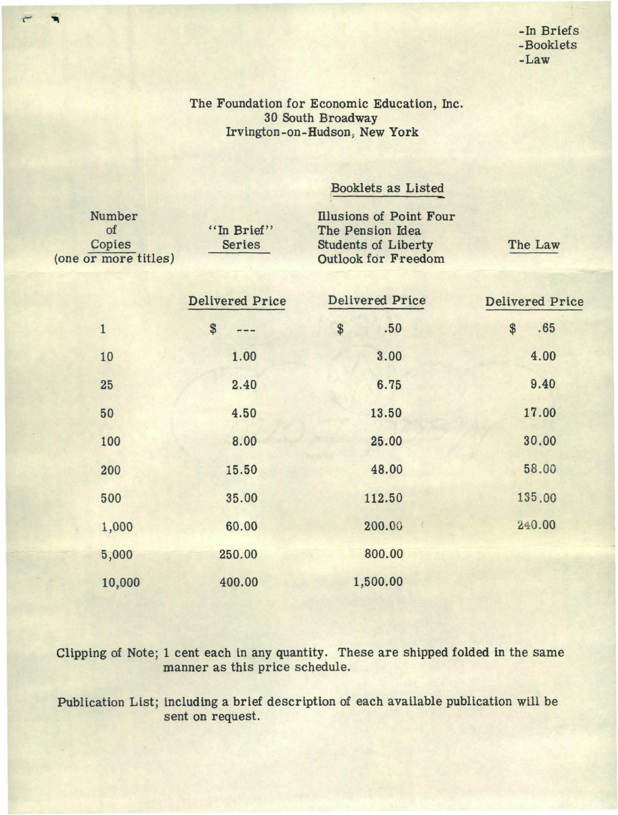-In Briefs -Booklets -Law

The Foundation for Economic Education, Inc. 30 South Broadway Irvington-on-Hudson, New York

Booklets as Listed

| Number<br>of<br>Copies<br>(one or more titles) | "In Brief"<br>Series   | Illusions of Point Four<br>The Pension Idea<br><b>Students of Liberty</b><br><b>Outlook for Freedom</b> | The Law                |
|------------------------------------------------|------------------------|---------------------------------------------------------------------------------------------------------|------------------------|
|                                                | <b>Delivered Price</b> | <b>Delivered Price</b>                                                                                  | <b>Delivered Price</b> |
| $\mathbf{1}$                                   | \$                     | \$<br>.50                                                                                               | \$<br>.65              |
| 10                                             | 1.00                   | 3.00                                                                                                    | 4.00                   |
| 25                                             | 2.40                   | 6.75                                                                                                    | 9.40                   |
| 50                                             | 4.50                   | 13.50                                                                                                   | 17.00                  |
| 100                                            | 8.00                   | 25.00                                                                                                   | 30.00                  |
| 200                                            | 15.50                  | 48.00                                                                                                   | 58.00                  |
| 500                                            | 35.00                  | 112.50                                                                                                  | 135.00                 |
| 1,000                                          | 60.00                  | 200.00                                                                                                  | 240.00                 |
| 5,000                                          | 250.00                 | 800.00                                                                                                  |                        |
| 10,000                                         | 400.00                 | 1,500.00                                                                                                |                        |
|                                                |                        |                                                                                                         |                        |

Clipping of Note; 1 cent each in any quantity. These are shipped folded in the same manner as this price schedule.

Publication List; including a brief description of each available publication will be sent on request.